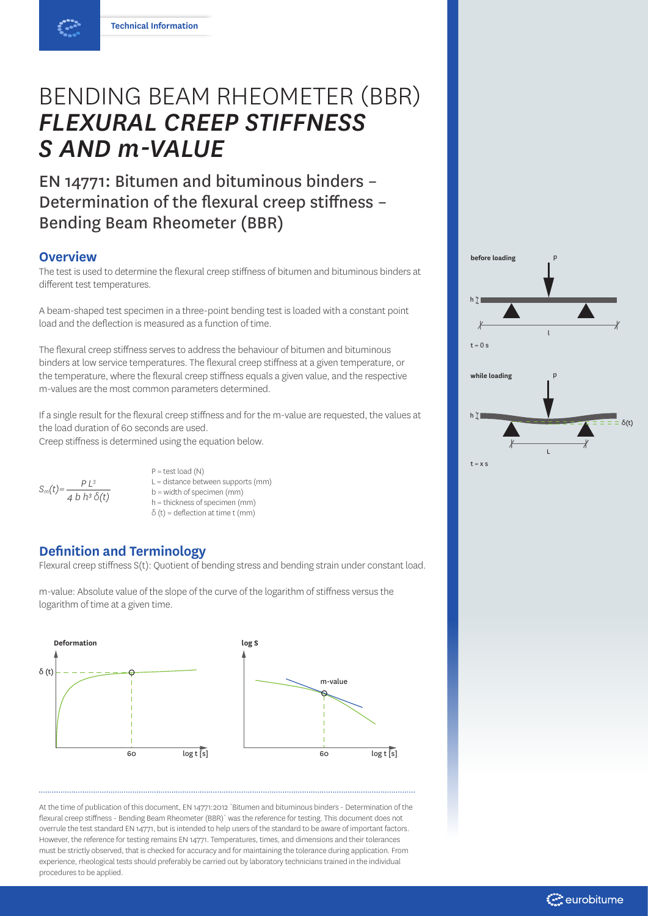# BENDING BEAM RHEOMETER (BBR) *FLEXURAL CREEP STIFFNESS S AND m-VALUE*

EN 14771: Bitumen and bituminous binders – Determination of the flexural creep stiffness – Bending Beam Rheometer (BBR)

## **Overview**

The test is used to determine the flexural creep stiffness of bitumen and bituminous binders at different test temperatures.

A beam-shaped test specimen in a three-point bending test is loaded with a constant point load and the deflection is measured as a function of time.

The flexural creep stiffness serves to address the behaviour of bitumen and bituminous binders at low service temperatures. The flexural creep stiffness at a given temperature, or the temperature, where the flexural creep stiffness equals a given value, and the respective m-values are the most common parameters determined.

If a single result for the flexural creep stiffness and for the m-value are requested, the values at the load duration of 60 seconds are used.

Creep stiffness is determined using the equation below.

 $S_m(t) = \frac{P L^3}{4 b h^3 \delta(t)}$ 

 $P = test load(N)$ L = distance between supports (mm) b = width of specimen (mm) h = thickness of specimen (mm)  $\delta$  (t) = deflection at time t (mm)

## **Definition and Terminology**

Flexural creep stiffness S(t): Quotient of bending stress and bending strain under constant load.

m-value: Absolute value of the slope of the curve of the logarithm of stiffness versus the logarithm of time at a given time.



At the time of publication of this document, EN 14771:2012 `Bitumen and bituminous binders - Determination of the flexural creep stiffness - Bending Beam Rheometer (BBR)` was the reference for testing. This document does not overrule the test standard EN 14771, but is intended to help users of the standard to be aware of important factors. However, the reference for testing remains EN 14771. Temperatures, times, and dimensions and their tolerances must be strictly observed, that is checked for accuracy and for maintaining the tolerance during application. From experience, rheological tests should preferably be carried out by laboratory technicians trained in the individual procedures to be applied.